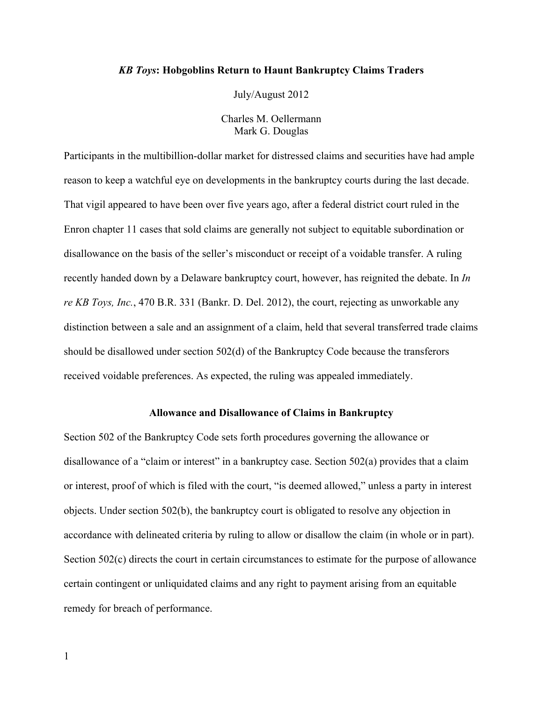## *KB Toys***: Hobgoblins Return to Haunt Bankruptcy Claims Traders**

July/August 2012

Charles M. Oellermann Mark G. Douglas

Participants in the multibillion-dollar market for distressed claims and securities have had ample reason to keep a watchful eye on developments in the bankruptcy courts during the last decade. That vigil appeared to have been over five years ago, after a federal district court ruled in the Enron chapter 11 cases that sold claims are generally not subject to equitable subordination or disallowance on the basis of the seller's misconduct or receipt of a voidable transfer. A ruling recently handed down by a Delaware bankruptcy court, however, has reignited the debate. In *In re KB Toys, Inc.*, 470 B.R. 331 (Bankr. D. Del. 2012), the court, rejecting as unworkable any distinction between a sale and an assignment of a claim, held that several transferred trade claims should be disallowed under section 502(d) of the Bankruptcy Code because the transferors received voidable preferences. As expected, the ruling was appealed immediately.

## **Allowance and Disallowance of Claims in Bankruptcy**

Section 502 of the Bankruptcy Code sets forth procedures governing the allowance or disallowance of a "claim or interest" in a bankruptcy case. Section 502(a) provides that a claim or interest, proof of which is filed with the court, "is deemed allowed," unless a party in interest objects. Under section 502(b), the bankruptcy court is obligated to resolve any objection in accordance with delineated criteria by ruling to allow or disallow the claim (in whole or in part). Section 502(c) directs the court in certain circumstances to estimate for the purpose of allowance certain contingent or unliquidated claims and any right to payment arising from an equitable remedy for breach of performance.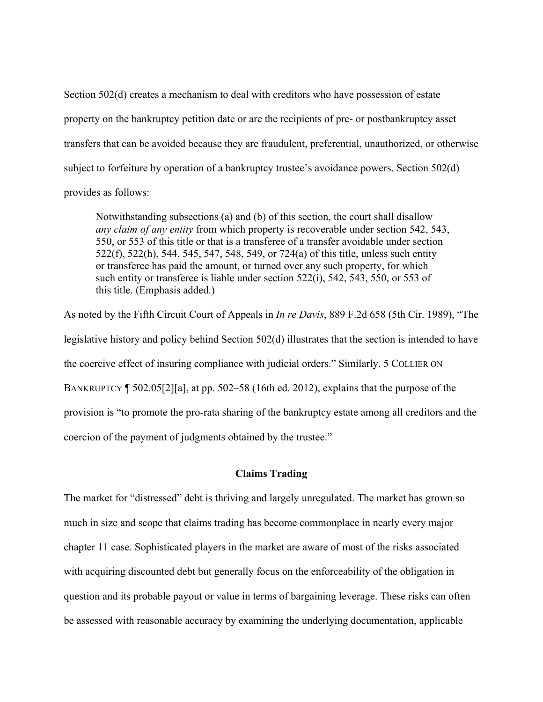Section 502(d) creates a mechanism to deal with creditors who have possession of estate property on the bankruptcy petition date or are the recipients of pre- or postbankruptcy asset transfers that can be avoided because they are fraudulent, preferential, unauthorized, or otherwise subject to forfeiture by operation of a bankruptcy trustee's avoidance powers. Section 502(d) provides as follows:

Notwithstanding subsections (a) and (b) of this section, the court shall disallow *any claim of any entity* from which property is recoverable under section 542, 543, 550, or 553 of this title or that is a transferee of a transfer avoidable under section 522(f), 522(h), 544, 545, 547, 548, 549, or 724(a) of this title, unless such entity or transferee has paid the amount, or turned over any such property, for which such entity or transferee is liable under section 522(i), 542, 543, 550, or 553 of this title. (Emphasis added.)

As noted by the Fifth Circuit Court of Appeals in *In re Davis*, 889 F.2d 658 (5th Cir. 1989), "The legislative history and policy behind Section 502(d) illustrates that the section is intended to have the coercive effect of insuring compliance with judicial orders." Similarly, 5 COLLIER ON BANKRUPTCY ¶ 502.05[2][a], at pp. 502–58 (16th ed. 2012), explains that the purpose of the provision is "to promote the pro-rata sharing of the bankruptcy estate among all creditors and the coercion of the payment of judgments obtained by the trustee."

# **Claims Trading**

The market for "distressed" debt is thriving and largely unregulated. The market has grown so much in size and scope that claims trading has become commonplace in nearly every major chapter 11 case. Sophisticated players in the market are aware of most of the risks associated with acquiring discounted debt but generally focus on the enforceability of the obligation in question and its probable payout or value in terms of bargaining leverage. These risks can often be assessed with reasonable accuracy by examining the underlying documentation, applicable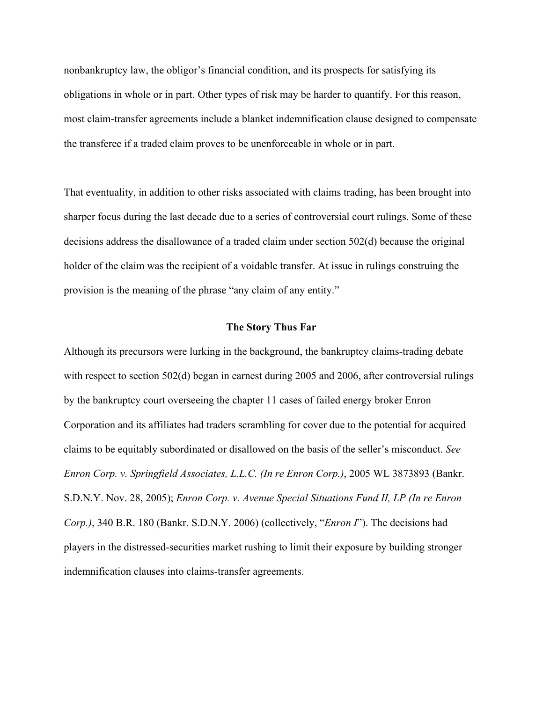nonbankruptcy law, the obligor's financial condition, and its prospects for satisfying its obligations in whole or in part. Other types of risk may be harder to quantify. For this reason, most claim-transfer agreements include a blanket indemnification clause designed to compensate the transferee if a traded claim proves to be unenforceable in whole or in part.

That eventuality, in addition to other risks associated with claims trading, has been brought into sharper focus during the last decade due to a series of controversial court rulings. Some of these decisions address the disallowance of a traded claim under section 502(d) because the original holder of the claim was the recipient of a voidable transfer. At issue in rulings construing the provision is the meaning of the phrase "any claim of any entity."

# **The Story Thus Far**

Although its precursors were lurking in the background, the bankruptcy claims-trading debate with respect to section 502(d) began in earnest during 2005 and 2006, after controversial rulings by the bankruptcy court overseeing the chapter 11 cases of failed energy broker Enron Corporation and its affiliates had traders scrambling for cover due to the potential for acquired claims to be equitably subordinated or disallowed on the basis of the seller's misconduct. *See Enron Corp. v. Springfield Associates, L.L.C. (In re Enron Corp.)*, 2005 WL 3873893 (Bankr. S.D.N.Y. Nov. 28, 2005); *Enron Corp. v. Avenue Special Situations Fund II, LP (In re Enron Corp.)*, 340 B.R. 180 (Bankr. S.D.N.Y. 2006) (collectively, "*Enron I*"). The decisions had players in the distressed-securities market rushing to limit their exposure by building stronger indemnification clauses into claims-transfer agreements.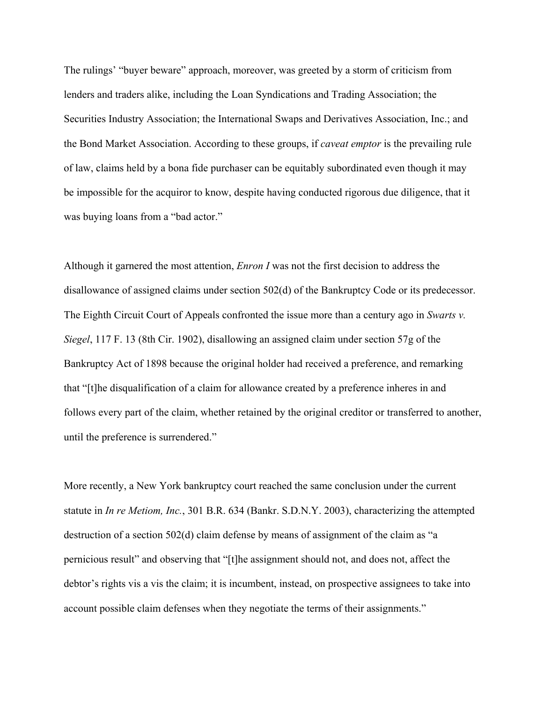The rulings' "buyer beware" approach, moreover, was greeted by a storm of criticism from lenders and traders alike, including the Loan Syndications and Trading Association; the Securities Industry Association; the International Swaps and Derivatives Association, Inc.; and the Bond Market Association. According to these groups, if *caveat emptor* is the prevailing rule of law, claims held by a bona fide purchaser can be equitably subordinated even though it may be impossible for the acquiror to know, despite having conducted rigorous due diligence, that it was buying loans from a "bad actor."

Although it garnered the most attention, *Enron I* was not the first decision to address the disallowance of assigned claims under section 502(d) of the Bankruptcy Code or its predecessor. The Eighth Circuit Court of Appeals confronted the issue more than a century ago in *Swarts v. Siegel*, 117 F. 13 (8th Cir. 1902), disallowing an assigned claim under section 57g of the Bankruptcy Act of 1898 because the original holder had received a preference, and remarking that "[t]he disqualification of a claim for allowance created by a preference inheres in and follows every part of the claim, whether retained by the original creditor or transferred to another, until the preference is surrendered."

More recently, a New York bankruptcy court reached the same conclusion under the current statute in *In re Metiom, Inc.*, 301 B.R. 634 (Bankr. S.D.N.Y. 2003), characterizing the attempted destruction of a section 502(d) claim defense by means of assignment of the claim as "a pernicious result" and observing that "[t]he assignment should not, and does not, affect the debtor's rights vis a vis the claim; it is incumbent, instead, on prospective assignees to take into account possible claim defenses when they negotiate the terms of their assignments."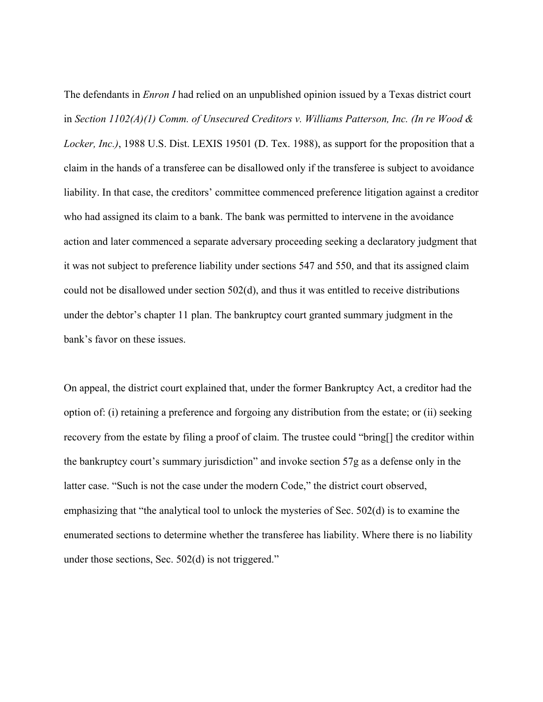The defendants in *Enron I* had relied on an unpublished opinion issued by a Texas district court in *Section 1102(A)(1) Comm. of Unsecured Creditors v. Williams Patterson, Inc. (In re Wood & Locker, Inc.)*, 1988 U.S. Dist. LEXIS 19501 (D. Tex. 1988), as support for the proposition that a claim in the hands of a transferee can be disallowed only if the transferee is subject to avoidance liability. In that case, the creditors' committee commenced preference litigation against a creditor who had assigned its claim to a bank. The bank was permitted to intervene in the avoidance action and later commenced a separate adversary proceeding seeking a declaratory judgment that it was not subject to preference liability under sections 547 and 550, and that its assigned claim could not be disallowed under section 502(d), and thus it was entitled to receive distributions under the debtor's chapter 11 plan. The bankruptcy court granted summary judgment in the bank's favor on these issues.

On appeal, the district court explained that, under the former Bankruptcy Act, a creditor had the option of: (i) retaining a preference and forgoing any distribution from the estate; or (ii) seeking recovery from the estate by filing a proof of claim. The trustee could "bring[] the creditor within the bankruptcy court's summary jurisdiction" and invoke section 57g as a defense only in the latter case. "Such is not the case under the modern Code," the district court observed, emphasizing that "the analytical tool to unlock the mysteries of Sec. 502(d) is to examine the enumerated sections to determine whether the transferee has liability. Where there is no liability under those sections, Sec. 502(d) is not triggered."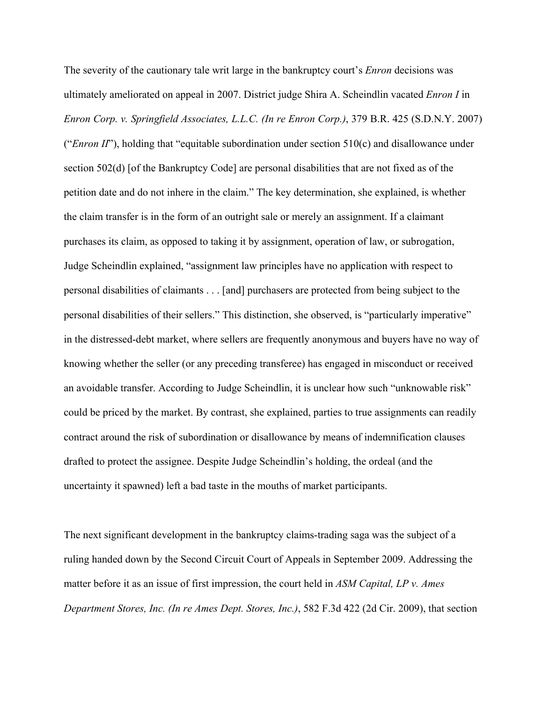The severity of the cautionary tale writ large in the bankruptcy court's *Enron* decisions was ultimately ameliorated on appeal in 2007. District judge Shira A. Scheindlin vacated *Enron I* in *Enron Corp. v. Springfield Associates, L.L.C. (In re Enron Corp.)*, 379 B.R. 425 (S.D.N.Y. 2007) ("*Enron II*"), holding that "equitable subordination under section 510(c) and disallowance under section 502(d) [of the Bankruptcy Code] are personal disabilities that are not fixed as of the petition date and do not inhere in the claim." The key determination, she explained, is whether the claim transfer is in the form of an outright sale or merely an assignment. If a claimant purchases its claim, as opposed to taking it by assignment, operation of law, or subrogation, Judge Scheindlin explained, "assignment law principles have no application with respect to personal disabilities of claimants . . . [and] purchasers are protected from being subject to the personal disabilities of their sellers." This distinction, she observed, is "particularly imperative" in the distressed-debt market, where sellers are frequently anonymous and buyers have no way of knowing whether the seller (or any preceding transferee) has engaged in misconduct or received an avoidable transfer. According to Judge Scheindlin, it is unclear how such "unknowable risk" could be priced by the market. By contrast, she explained, parties to true assignments can readily contract around the risk of subordination or disallowance by means of indemnification clauses drafted to protect the assignee. Despite Judge Scheindlin's holding, the ordeal (and the uncertainty it spawned) left a bad taste in the mouths of market participants.

The next significant development in the bankruptcy claims-trading saga was the subject of a ruling handed down by the Second Circuit Court of Appeals in September 2009. Addressing the matter before it as an issue of first impression, the court held in *ASM Capital, LP v. Ames Department Stores, Inc. (In re Ames Dept. Stores, Inc.)*, 582 F.3d 422 (2d Cir. 2009), that section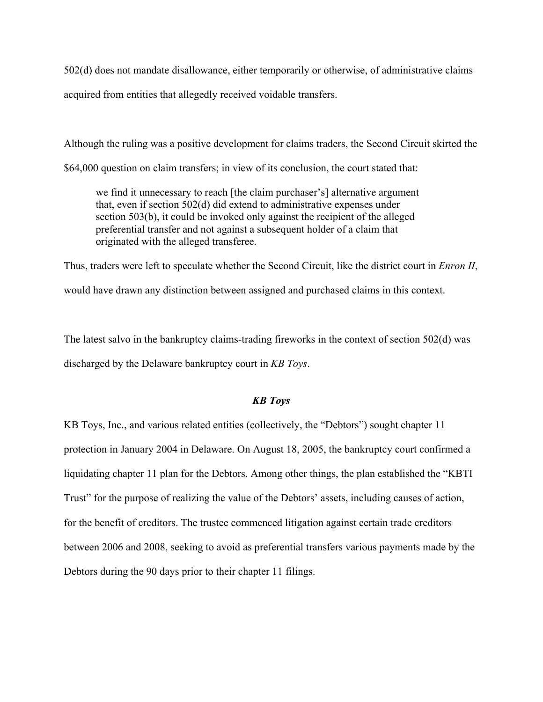502(d) does not mandate disallowance, either temporarily or otherwise, of administrative claims acquired from entities that allegedly received voidable transfers.

Although the ruling was a positive development for claims traders, the Second Circuit skirted the

\$64,000 question on claim transfers; in view of its conclusion, the court stated that:

we find it unnecessary to reach [the claim purchaser's] alternative argument that, even if section 502(d) did extend to administrative expenses under section 503(b), it could be invoked only against the recipient of the alleged preferential transfer and not against a subsequent holder of a claim that originated with the alleged transferee.

Thus, traders were left to speculate whether the Second Circuit, like the district court in *Enron II*, would have drawn any distinction between assigned and purchased claims in this context.

The latest salvo in the bankruptcy claims-trading fireworks in the context of section 502(d) was discharged by the Delaware bankruptcy court in *KB Toys*.

# *KB Toys*

KB Toys, Inc., and various related entities (collectively, the "Debtors") sought chapter 11 protection in January 2004 in Delaware. On August 18, 2005, the bankruptcy court confirmed a liquidating chapter 11 plan for the Debtors. Among other things, the plan established the "KBTI Trust" for the purpose of realizing the value of the Debtors' assets, including causes of action, for the benefit of creditors. The trustee commenced litigation against certain trade creditors between 2006 and 2008, seeking to avoid as preferential transfers various payments made by the Debtors during the 90 days prior to their chapter 11 filings.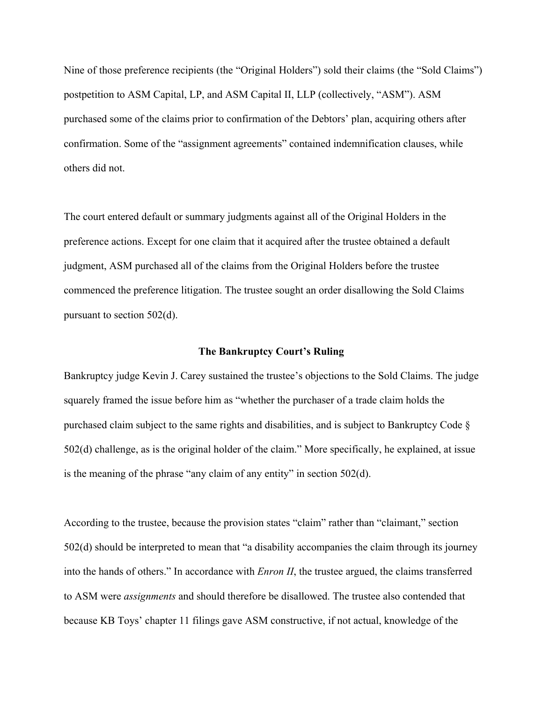Nine of those preference recipients (the "Original Holders") sold their claims (the "Sold Claims") postpetition to ASM Capital, LP, and ASM Capital II, LLP (collectively, "ASM"). ASM purchased some of the claims prior to confirmation of the Debtors' plan, acquiring others after confirmation. Some of the "assignment agreements" contained indemnification clauses, while others did not.

The court entered default or summary judgments against all of the Original Holders in the preference actions. Except for one claim that it acquired after the trustee obtained a default judgment, ASM purchased all of the claims from the Original Holders before the trustee commenced the preference litigation. The trustee sought an order disallowing the Sold Claims pursuant to section 502(d).

#### **The Bankruptcy Court's Ruling**

Bankruptcy judge Kevin J. Carey sustained the trustee's objections to the Sold Claims. The judge squarely framed the issue before him as "whether the purchaser of a trade claim holds the purchased claim subject to the same rights and disabilities, and is subject to Bankruptcy Code § 502(d) challenge, as is the original holder of the claim." More specifically, he explained, at issue is the meaning of the phrase "any claim of any entity" in section 502(d).

According to the trustee, because the provision states "claim" rather than "claimant," section 502(d) should be interpreted to mean that "a disability accompanies the claim through its journey into the hands of others." In accordance with *Enron II*, the trustee argued, the claims transferred to ASM were *assignments* and should therefore be disallowed. The trustee also contended that because KB Toys' chapter 11 filings gave ASM constructive, if not actual, knowledge of the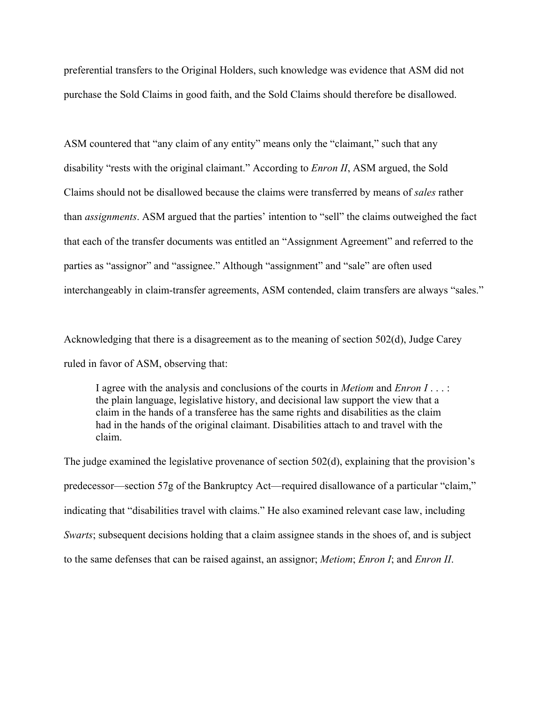preferential transfers to the Original Holders, such knowledge was evidence that ASM did not purchase the Sold Claims in good faith, and the Sold Claims should therefore be disallowed.

ASM countered that "any claim of any entity" means only the "claimant," such that any disability "rests with the original claimant." According to *Enron II*, ASM argued, the Sold Claims should not be disallowed because the claims were transferred by means of *sales* rather than *assignments*. ASM argued that the parties' intention to "sell" the claims outweighed the fact that each of the transfer documents was entitled an "Assignment Agreement" and referred to the parties as "assignor" and "assignee." Although "assignment" and "sale" are often used interchangeably in claim-transfer agreements, ASM contended, claim transfers are always "sales."

Acknowledging that there is a disagreement as to the meaning of section 502(d), Judge Carey ruled in favor of ASM, observing that:

I agree with the analysis and conclusions of the courts in *Metiom* and *Enron I* . . . : the plain language, legislative history, and decisional law support the view that a claim in the hands of a transferee has the same rights and disabilities as the claim had in the hands of the original claimant. Disabilities attach to and travel with the claim.

The judge examined the legislative provenance of section 502(d), explaining that the provision's predecessor—section 57g of the Bankruptcy Act—required disallowance of a particular "claim," indicating that "disabilities travel with claims." He also examined relevant case law, including *Swarts*; subsequent decisions holding that a claim assignee stands in the shoes of, and is subject to the same defenses that can be raised against, an assignor; *Metiom*; *Enron I*; and *Enron II*.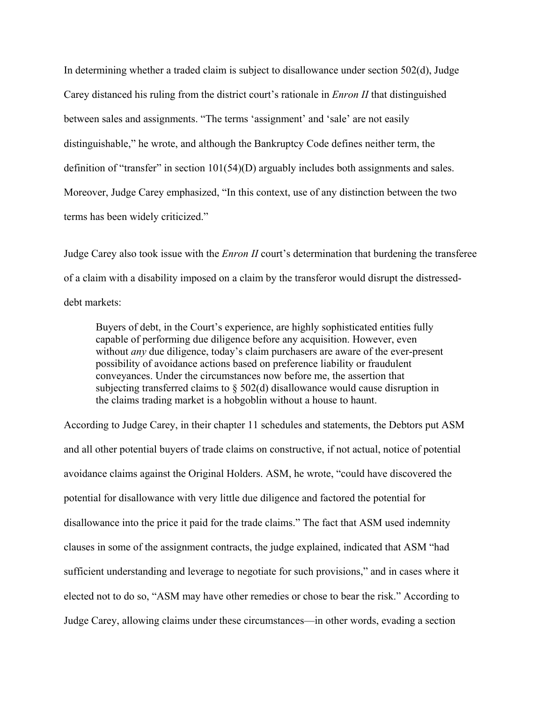In determining whether a traded claim is subject to disallowance under section 502(d), Judge Carey distanced his ruling from the district court's rationale in *Enron II* that distinguished between sales and assignments. "The terms 'assignment' and 'sale' are not easily distinguishable," he wrote, and although the Bankruptcy Code defines neither term, the definition of "transfer" in section 101(54)(D) arguably includes both assignments and sales. Moreover, Judge Carey emphasized, "In this context, use of any distinction between the two terms has been widely criticized."

Judge Carey also took issue with the *Enron II* court's determination that burdening the transferee of a claim with a disability imposed on a claim by the transferor would disrupt the distresseddebt markets:

Buyers of debt, in the Court's experience, are highly sophisticated entities fully capable of performing due diligence before any acquisition. However, even without *any* due diligence, today's claim purchasers are aware of the ever-present possibility of avoidance actions based on preference liability or fraudulent conveyances. Under the circumstances now before me, the assertion that subjecting transferred claims to  $\S$  502(d) disallowance would cause disruption in the claims trading market is a hobgoblin without a house to haunt.

According to Judge Carey, in their chapter 11 schedules and statements, the Debtors put ASM and all other potential buyers of trade claims on constructive, if not actual, notice of potential avoidance claims against the Original Holders. ASM, he wrote, "could have discovered the potential for disallowance with very little due diligence and factored the potential for disallowance into the price it paid for the trade claims." The fact that ASM used indemnity clauses in some of the assignment contracts, the judge explained, indicated that ASM "had sufficient understanding and leverage to negotiate for such provisions," and in cases where it elected not to do so, "ASM may have other remedies or chose to bear the risk." According to Judge Carey, allowing claims under these circumstances—in other words, evading a section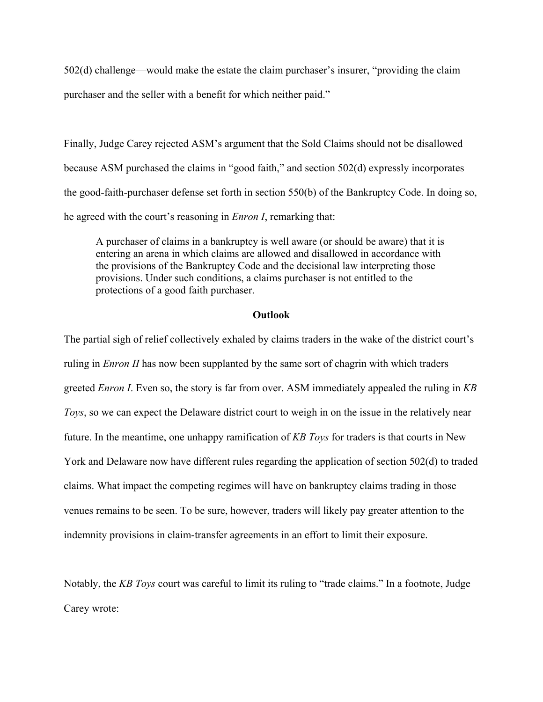502(d) challenge—would make the estate the claim purchaser's insurer, "providing the claim purchaser and the seller with a benefit for which neither paid."

Finally, Judge Carey rejected ASM's argument that the Sold Claims should not be disallowed because ASM purchased the claims in "good faith," and section 502(d) expressly incorporates the good-faith-purchaser defense set forth in section 550(b) of the Bankruptcy Code. In doing so, he agreed with the court's reasoning in *Enron I*, remarking that:

A purchaser of claims in a bankruptcy is well aware (or should be aware) that it is entering an arena in which claims are allowed and disallowed in accordance with the provisions of the Bankruptcy Code and the decisional law interpreting those provisions. Under such conditions, a claims purchaser is not entitled to the protections of a good faith purchaser.

### **Outlook**

The partial sigh of relief collectively exhaled by claims traders in the wake of the district court's ruling in *Enron II* has now been supplanted by the same sort of chagrin with which traders greeted *Enron I*. Even so, the story is far from over. ASM immediately appealed the ruling in *KB Toys*, so we can expect the Delaware district court to weigh in on the issue in the relatively near future. In the meantime, one unhappy ramification of *KB Toys* for traders is that courts in New York and Delaware now have different rules regarding the application of section 502(d) to traded claims. What impact the competing regimes will have on bankruptcy claims trading in those venues remains to be seen. To be sure, however, traders will likely pay greater attention to the indemnity provisions in claim-transfer agreements in an effort to limit their exposure.

Notably, the *KB Toys* court was careful to limit its ruling to "trade claims." In a footnote, Judge Carey wrote: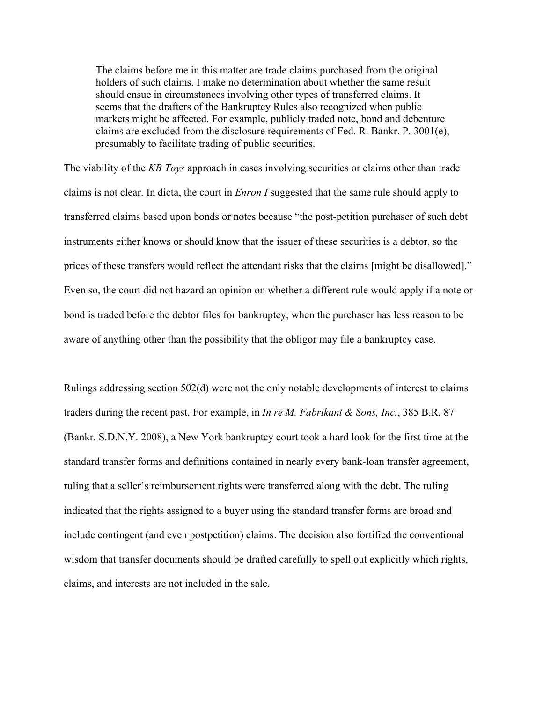The claims before me in this matter are trade claims purchased from the original holders of such claims. I make no determination about whether the same result should ensue in circumstances involving other types of transferred claims. It seems that the drafters of the Bankruptcy Rules also recognized when public markets might be affected. For example, publicly traded note, bond and debenture claims are excluded from the disclosure requirements of Fed. R. Bankr. P. 3001(e), presumably to facilitate trading of public securities.

The viability of the *KB Toys* approach in cases involving securities or claims other than trade claims is not clear. In dicta, the court in *Enron I* suggested that the same rule should apply to transferred claims based upon bonds or notes because "the post-petition purchaser of such debt instruments either knows or should know that the issuer of these securities is a debtor, so the prices of these transfers would reflect the attendant risks that the claims [might be disallowed]." Even so, the court did not hazard an opinion on whether a different rule would apply if a note or bond is traded before the debtor files for bankruptcy, when the purchaser has less reason to be aware of anything other than the possibility that the obligor may file a bankruptcy case.

Rulings addressing section 502(d) were not the only notable developments of interest to claims traders during the recent past. For example, in *In re M. Fabrikant & Sons, Inc.*, 385 B.R. 87 (Bankr. S.D.N.Y. 2008), a New York bankruptcy court took a hard look for the first time at the standard transfer forms and definitions contained in nearly every bank-loan transfer agreement, ruling that a seller's reimbursement rights were transferred along with the debt. The ruling indicated that the rights assigned to a buyer using the standard transfer forms are broad and include contingent (and even postpetition) claims. The decision also fortified the conventional wisdom that transfer documents should be drafted carefully to spell out explicitly which rights, claims, and interests are not included in the sale.